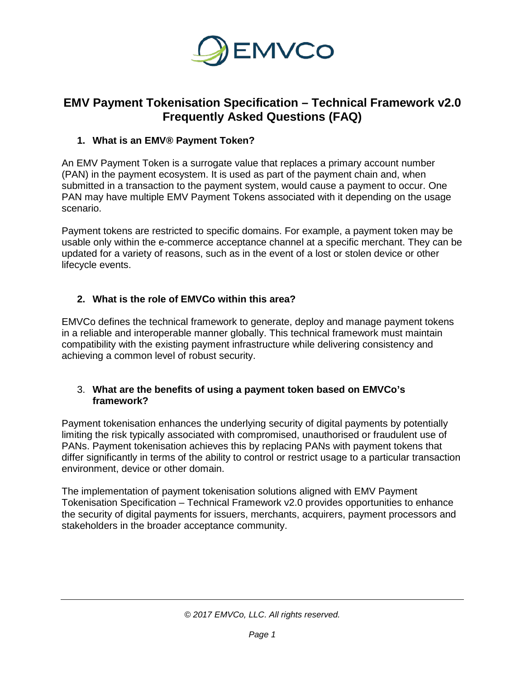

# **EMV Payment Tokenisation Specification – Technical Framework v2.0 Frequently Asked Questions (FAQ)**

# **1. What is an EMV® Payment Token?**

An EMV Payment Token is a surrogate value that replaces a primary account number (PAN) in the payment ecosystem. It is used as part of the payment chain and, when submitted in a transaction to the payment system, would cause a payment to occur. One PAN may have multiple EMV Payment Tokens associated with it depending on the usage scenario.

Payment tokens are restricted to specific domains. For example, a payment token may be usable only within the e-commerce acceptance channel at a specific merchant. They can be updated for a variety of reasons, such as in the event of a lost or stolen device or other lifecycle events.

# **2. What is the role of EMVCo within this area?**

EMVCo defines the technical framework to generate, deploy and manage payment tokens in a reliable and interoperable manner globally. This technical framework must maintain compatibility with the existing payment infrastructure while delivering consistency and achieving a common level of robust security.

#### 3. **What are the benefits of using a payment token based on EMVCo's framework?**

Payment tokenisation enhances the underlying security of digital payments by potentially limiting the risk typically associated with compromised, unauthorised or fraudulent use of PANs. Payment tokenisation achieves this by replacing PANs with payment tokens that differ significantly in terms of the ability to control or restrict usage to a particular transaction environment, device or other domain.

The implementation of payment tokenisation solutions aligned with EMV Payment Tokenisation Specification – Technical Framework v2.0 provides opportunities to enhance the security of digital payments for issuers, merchants, acquirers, payment processors and stakeholders in the broader acceptance community.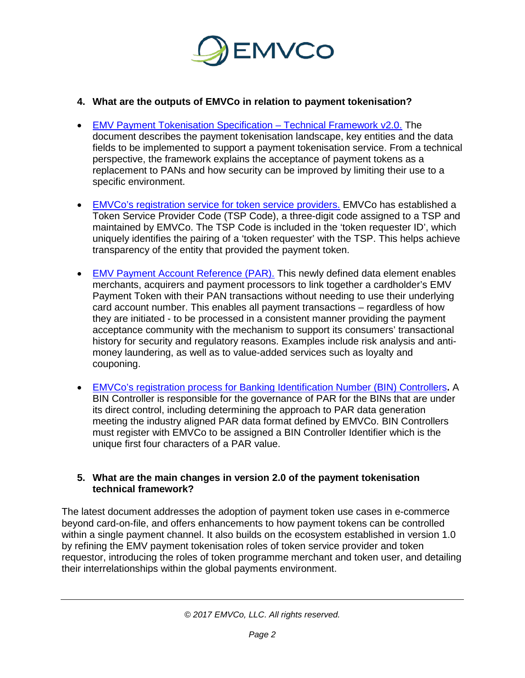

## **4. What are the outputs of EMVCo in relation to payment tokenisation?**

- [EMV Payment Tokenisation Specification –](http://www.emvco.com/specifications.aspx?id=263) Technical Framework v2.0. The document describes the payment tokenisation landscape, key entities and the data fields to be implemented to support a payment tokenisation service. From a technical perspective, the framework explains the acceptance of payment tokens as a replacement to PANs and how security can be improved by limiting their use to a specific environment.
- [EMVCo's registration service for token service providers.](https://www.emvco.com/processes-forms/registration-services/tsp-code/) EMVCo has established a Token Service Provider Code (TSP Code), a three-digit code assigned to a TSP and maintained by EMVCo. The TSP Code is included in the 'token requester ID', which uniquely identifies the pairing of a 'token requester' with the TSP. This helps achieve transparency of the entity that provided the payment token.
- EMV [Payment Account Reference \(PAR\).](https://www.emvco.com/wp-content/uploads/2017/05/EMVCo_PAR_PR_FINAL_March-2016.pdf) This newly defined data element enables merchants, acquirers and payment processors to link together a cardholder's EMV Payment Token with their PAN transactions without needing to use their underlying card account number. This enables all payment transactions – regardless of how they are initiated - to be processed in a consistent manner providing the payment acceptance community with the mechanism to support its consumers' transactional history for security and regulatory reasons. Examples include risk analysis and antimoney laundering, as well as to value-added services such as loyalty and couponing.
- [EMVCo's registration process for Banking Identification Number \(BIN\) Controllers](https://www.emvco.com/processes-forms/registration-services/bin-controller/)**.** A BIN Controller is responsible for the governance of PAR for the BINs that are under its direct control, including determining the approach to PAR data generation meeting the industry aligned PAR data format defined by EMVCo. BIN Controllers must register with EMVCo to be assigned a BIN Controller Identifier which is the unique first four characters of a PAR value.

#### **5. What are the main changes in version 2.0 of the payment tokenisation technical framework?**

The latest document addresses the adoption of payment token use cases in e-commerce beyond card-on-file, and offers enhancements to how payment tokens can be controlled within a single payment channel. It also builds on the ecosystem established in version 1.0 by refining the EMV payment tokenisation roles of token service provider and token requestor, introducing the roles of token programme merchant and token user, and detailing their interrelationships within the global payments environment.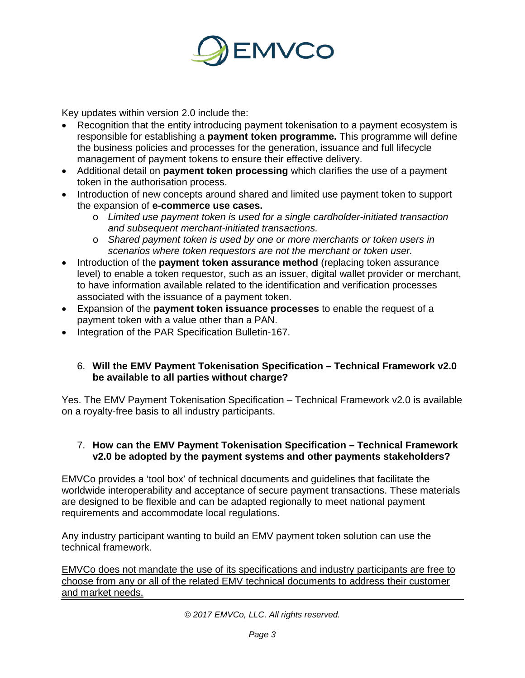

Key updates within version 2.0 include the:

- Recognition that the entity introducing payment tokenisation to a payment ecosystem is responsible for establishing a **payment token programme.** This programme will define the business policies and processes for the generation, issuance and full lifecycle management of payment tokens to ensure their effective delivery.
- Additional detail on **payment token processing** which clarifies the use of a payment token in the authorisation process.
- Introduction of new concepts around shared and limited use payment token to support the expansion of **e-commerce use cases.**
	- o *Limited use payment token is used for a single cardholder-initiated transaction and subsequent merchant-initiated transactions.*
	- o *Shared payment token is used by one or more merchants or token users in scenarios where token requestors are not the merchant or token user.*
- Introduction of the **payment token assurance method** (replacing token assurance level) to enable a token requestor, such as an issuer, digital wallet provider or merchant, to have information available related to the identification and verification processes associated with the issuance of a payment token.
- Expansion of the **payment token issuance processes** to enable the request of a payment token with a value other than a PAN.
- Integration of the PAR Specification Bulletin-167.

## 6. **Will the EMV Payment Tokenisation Specification – Technical Framework v2.0 be available to all parties without charge?**

Yes. The EMV Payment Tokenisation Specification – Technical Framework v2.0 is available on a royalty-free basis to all industry participants.

#### 7. **How can the EMV Payment Tokenisation Specification – Technical Framework v2.0 be adopted by the payment systems and other payments stakeholders?**

EMVCo provides a 'tool box' of technical documents and guidelines that facilitate the worldwide interoperability and acceptance of secure payment transactions. These materials are designed to be flexible and can be adapted regionally to meet national payment requirements and accommodate local regulations.

Any industry participant wanting to build an EMV payment token solution can use the technical framework.

EMVCo does not mandate the use of its specifications and industry participants are free to choose from any or all of the related EMV technical documents to address their customer and market needs.

*© 2017 EMVCo, LLC. All rights reserved.*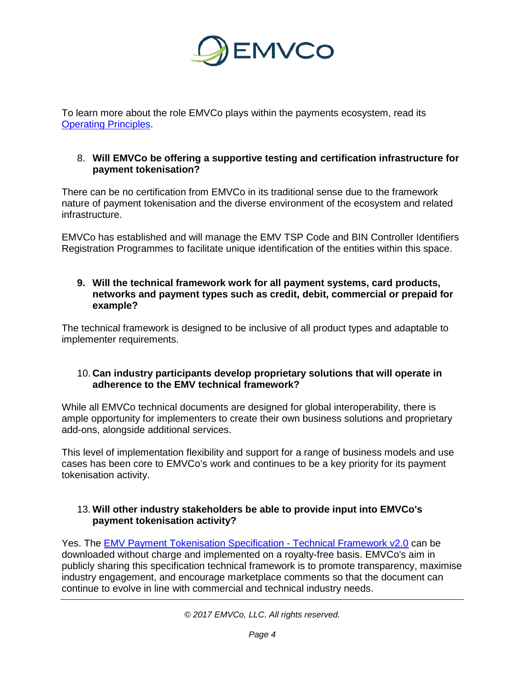

To learn more about the role EMVCo plays within the payments ecosystem, read its [Operating Principles.](https://www.emvco.com/about/overview/)

#### 8. **Will EMVCo be offering a supportive testing and certification infrastructure for payment tokenisation?**

There can be no certification from EMVCo in its traditional sense due to the framework nature of payment tokenisation and the diverse environment of the ecosystem and related infrastructure.

EMVCo has established and will manage the EMV TSP Code and BIN Controller Identifiers Registration Programmes to facilitate unique identification of the entities within this space.

#### **9. Will the technical framework work for all payment systems, card products, networks and payment types such as credit, debit, commercial or prepaid for example?**

The technical framework is designed to be inclusive of all product types and adaptable to implementer requirements.

#### 10. **Can industry participants develop proprietary solutions that will operate in adherence to the EMV technical framework?**

While all EMVCo technical documents are designed for global interoperability, there is ample opportunity for implementers to create their own business solutions and proprietary add-ons, alongside additional services.

This level of implementation flexibility and support for a range of business models and use cases has been core to EMVCo's work and continues to be a key priority for its payment tokenisation activity.

## 13. **Will other industry stakeholders be able to provide input into EMVCo's payment tokenisation activity?**

Yes. The **EMV [Payment Tokenisation Specification -](http://www.emvco.com/specifications.aspx?id=263) Technical Framework v2.0** can be downloaded without charge and implemented on a royalty-free basis. EMVCo's aim in publicly sharing this specification technical framework is to promote transparency, maximise industry engagement, and encourage marketplace comments so that the document can continue to evolve in line with commercial and technical industry needs.